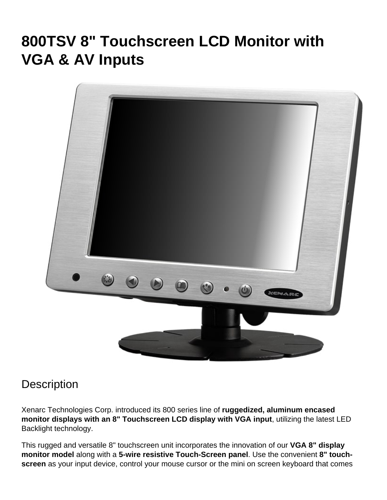# **800TSV 8" Touchscreen LCD Monitor with VGA & AV Inputs**



#### **Description**

Xenarc Technologies Corp. introduced its 800 series line of **ruggedized, aluminum encased monitor displays with an 8" Touchscreen LCD display with VGA input**, utilizing the latest LED Backlight technology.

This rugged and versatile 8" touchscreen unit incorporates the innovation of our **VGA 8" display monitor model** along with a **5-wire resistive Touch-Screen panel**. Use the convenient **8" touchscreen** as your input device, control your mouse cursor or the mini on screen keyboard that comes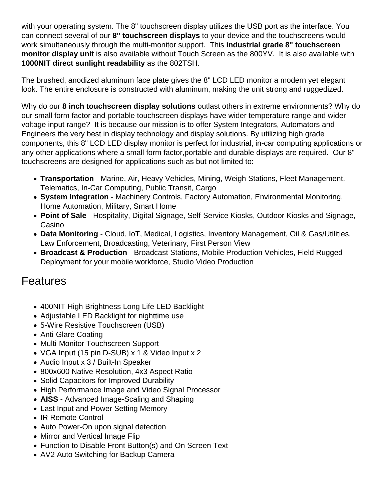with your operating system. The 8" touchscreen display utilizes the USB port as the interface. You can connect several of our 8" touchscreen displays to your device and the touchscreens would work simultaneously through the multi-monitor support. This industrial grade 8" touchscreen monitor display unit is also available without Touch Screen as the [800YV.](https://www.xenarc.com/800YV.html) It is also available with 1000NIT direct sunlight readability as the [802TSH.](https://www.xenarc.com/802TSH.html)

The brushed, anodized aluminum face plate gives the 8" LCD LED monitor a modern yet elegant look. The entire enclosure is constructed with aluminum, making the unit strong and ruggedized.

Why do our 8 inch touchscreen display solutions outlast others in extreme environments? Why do our small form factor and portable touchscreen displays have wider temperature range and wider voltage input range? It is because our mission is to offer System Integrators, Automators and Engineers the very best in display technology and display solutions. By utilizing high grade components, this 8" LCD LED display monitor is perfect for industrial, in-car computing applications or any other applications where a small form factor,portable and durable displays are required. Our 8" touchscreens are designed for applications such as but not limited to:

- [Transportation](https://www.xenarc.com/in-vehicle-display-monitors-fleet-transportation-management.html) - [Marine](https://www.xenarc.com/marine-outdoor-waterproof-display-monitors.html), Air, Heavy Vehicles, Mining, Weigh Stations, Fleet Management, Telematics, In-Car Computing, Public Transit, Cargo
- [System Integration](https://www.xenarc.com/system-integration-industrial-display-monitors.html) Machinery Controls, Factory Automation, Environmental Monitoring, Home Automation, Military, Smart Home
- [Point of Sale](https://www.xenarc.com/pos-touchscreen-display-monitors.html)  Hospitality, [Digital Signage](https://www.xenarc.com/casino-gaming-and-digital-signage-display-monitors.html), Self-Service Kiosks, Outdoor Kiosks and Signage, Casino
- Data Monitoring Cloud, IoT, [Medical](https://www.xenarc.com/medical-grade-touchscreen-display-monitors.html), Logistics, Inventory Management, Oil & Gas/Utilities, Law Enforcement, Broadcasting, Veterinary, First Person View
- [Broadcast & Production](https://www.xenarc.com/1219GNS-12.1-inch-sunlight-readable-IP67-IK08-optically-bonded-capacitive-touchscreen-with-SDI-HDMI-DVI-VGA-AV-Inputs-hdmi-sdi-video-output.html) Broadcast Stations, Mobile Production Vehicles, Field Rugged Deployment for your mobile workforce, Studio Video Production

#### **Features**

- 400NIT High Brightness Long Life LED Backlight
- Adjustable LED Backlight for nighttime use
- 5-Wire Resistive Touchscreen (USB)
- Anti-Glare Coating
- Multi-Monitor Touchscreen Support
- VGA Input (15 pin D-SUB) x 1 & Video Input x 2
- Audio Input x 3 / Built-In Speaker
- 800x600 Native Resolution, 4x3 Aspect Ratio
- Solid Capacitors for Improved Durability
- High Performance Image and Video Signal Processor
- AISS Advanced Image-Scaling and Shaping
- Last Input and Power Setting Memory
- IR Remote Control
- Auto Power-On upon signal detection
- Mirror and Vertical Image Flip
- Function to Disable Front Button(s) and On Screen Text
- AV2 Auto Switching for Backup Camera